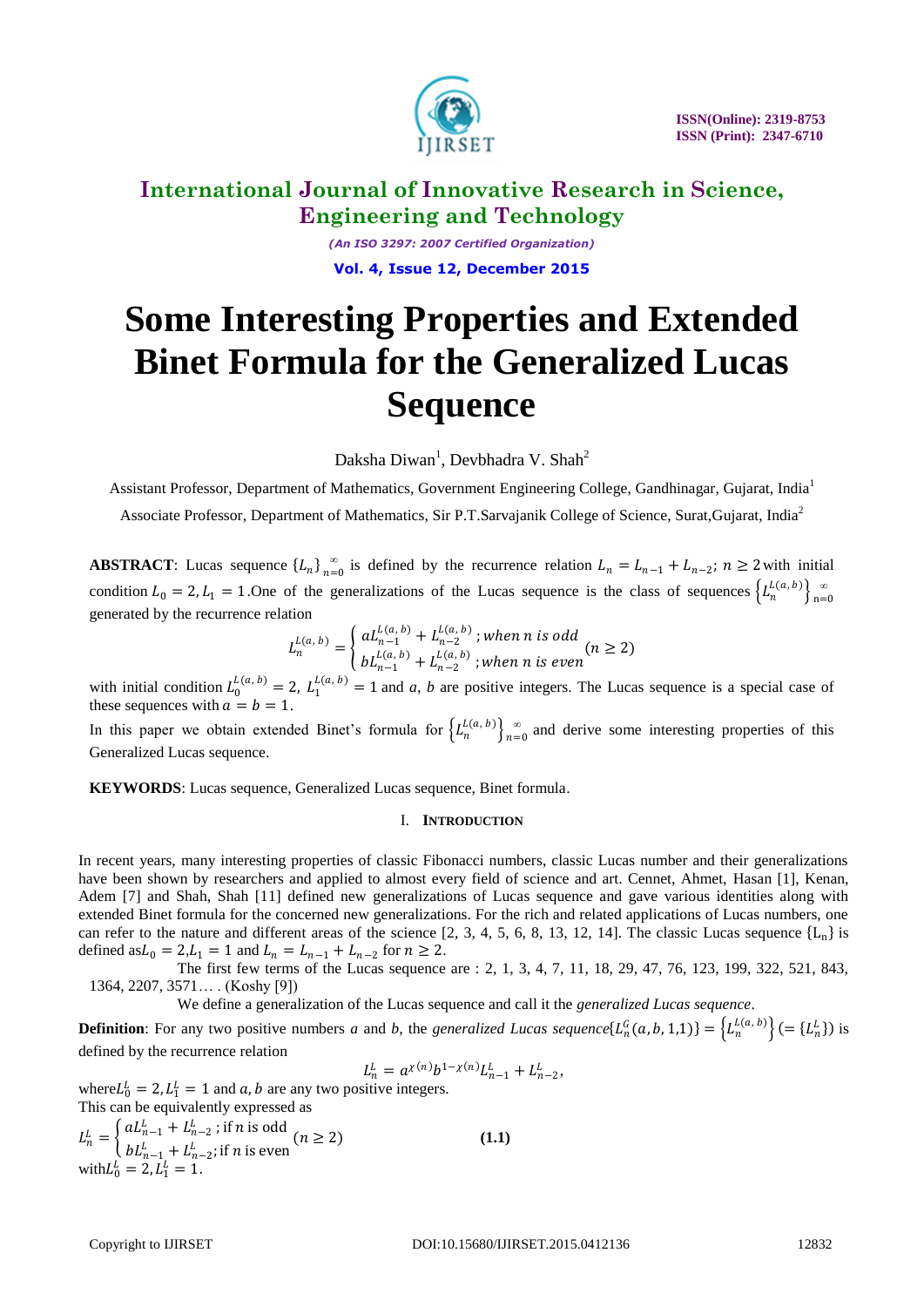

*(An ISO 3297: 2007 Certified Organization)* **Vol. 4, Issue 12, December 2015**

# **Some Interesting Properties and Extended Binet Formula for the Generalized Lucas Sequence**

Daksha Diwan<sup>1</sup>, Devbhadra V. Shah<sup>2</sup>

Assistant Professor, Department of Mathematics, Government Engineering College, Gandhinagar, Gujarat, India<sup>1</sup>

Associate Professor, Department of Mathematics, Sir P.T.Sarvajanik College of Science, Surat,Gujarat, India<sup>2</sup>

**ABSTRACT**: Lucas sequence  ${L_n}_{n=0}^{\infty}$  $\sum_{n=0}^{\infty}$  is defined by the recurrence relation  $L_n = L_{n-1} + L_{n-2}$ ;  $n \ge 2$  with initial condition  $L_0 = 2$ ,  $L_1 = 1$ . One of the generalizations of the Lucas sequence is the class of sequences  $\left\{L_n^{L(a, b)}\right\}_{n=1}^{\infty}$  $n=0$ generated by the recurrence relation

$$
L_n^{L(a, b)} = \begin{cases} aL_{n-1}^{L(a, b)} + L_{n-2}^{L(a, b)}; when n is odd \\ bL_{n-1}^{L(a, b)} + L_{n-2}^{L(a, b)}; when n is even \end{cases} (n \ge 2)
$$

with initial condition  $L_0^{L(a, b)} = 2$ ,  $L_1^{L(a, b)} = 1$  and *a*, *b* are positive integers. The Lucas sequence is a special case of these sequences with  $a = b = 1$ .

In this paper we obtain extended Binet's formula for  $\left\{L_n^{L(a, b)}\right\}_{n=1}^{\infty}$  $\sum_{n=0}^{\infty}$  and derive some interesting properties of this Generalized Lucas sequence.

**KEYWORDS**: Lucas sequence, Generalized Lucas sequence, Binet formula.

#### I. **INTRODUCTION**

In recent years, many interesting properties of classic Fibonacci numbers, classic Lucas number and their generalizations have been shown by researchers and applied to almost every field of science and art. Cennet, Ahmet, Hasan [1], Kenan, Adem [7] and Shah, Shah [11] defined new generalizations of Lucas sequence and gave various identities along with extended Binet formula for the concerned new generalizations. For the rich and related applications of Lucas numbers, one can refer to the nature and different areas of the science [2, 3, 4, 5, 6, 8, 13, 12, 14]. The classic Lucas sequence  ${L_n}$  is defined as  $L_0 = 2, L_1 = 1$  and  $L_n = L_{n-1} + L_{n-2}$  for  $n \ge 2$ .

The first few terms of the Lucas sequence are : 2, 1, 3, 4, 7, 11, 18, 29, 47, 76, 123, 199, 322, 521, 843, 1364, 2207, 3571… . (Koshy [9])

We define a generalization of the Lucas sequence and call it the *generalized Lucas sequence*.

**Definition**: For any two positive numbers *a* and *b*, the *generalized Lucas sequence*  $\{L_n^G(a, b, 1, 1)\} = \{L_n^{L(a, b)}\}$  (=  $\{L_n^L\}$ ) is defined by the recurrence relation

 $L_n^L = a^{\chi(n)} b^{1-\chi(n)} L_{n-1}^L + L_{n-2}^L,$ 

where  $L_0^L = 2$ ,  $L_1^L = 1$  and  $a, b$  are any two positive integers. This can be equivalently expressed as

$$
L_n^L = \begin{cases} aL_{n-1}^L + L_{n-2}^L \text{; if } n \text{ is odd} \\ bL_{n-1}^L + L_{n-2}^L \text{; if } n \text{ is even} \end{cases} (n \ge 2)
$$
\n
$$
\text{with } L_0^L = 2, L_1^L = 1.
$$
\n(1.1)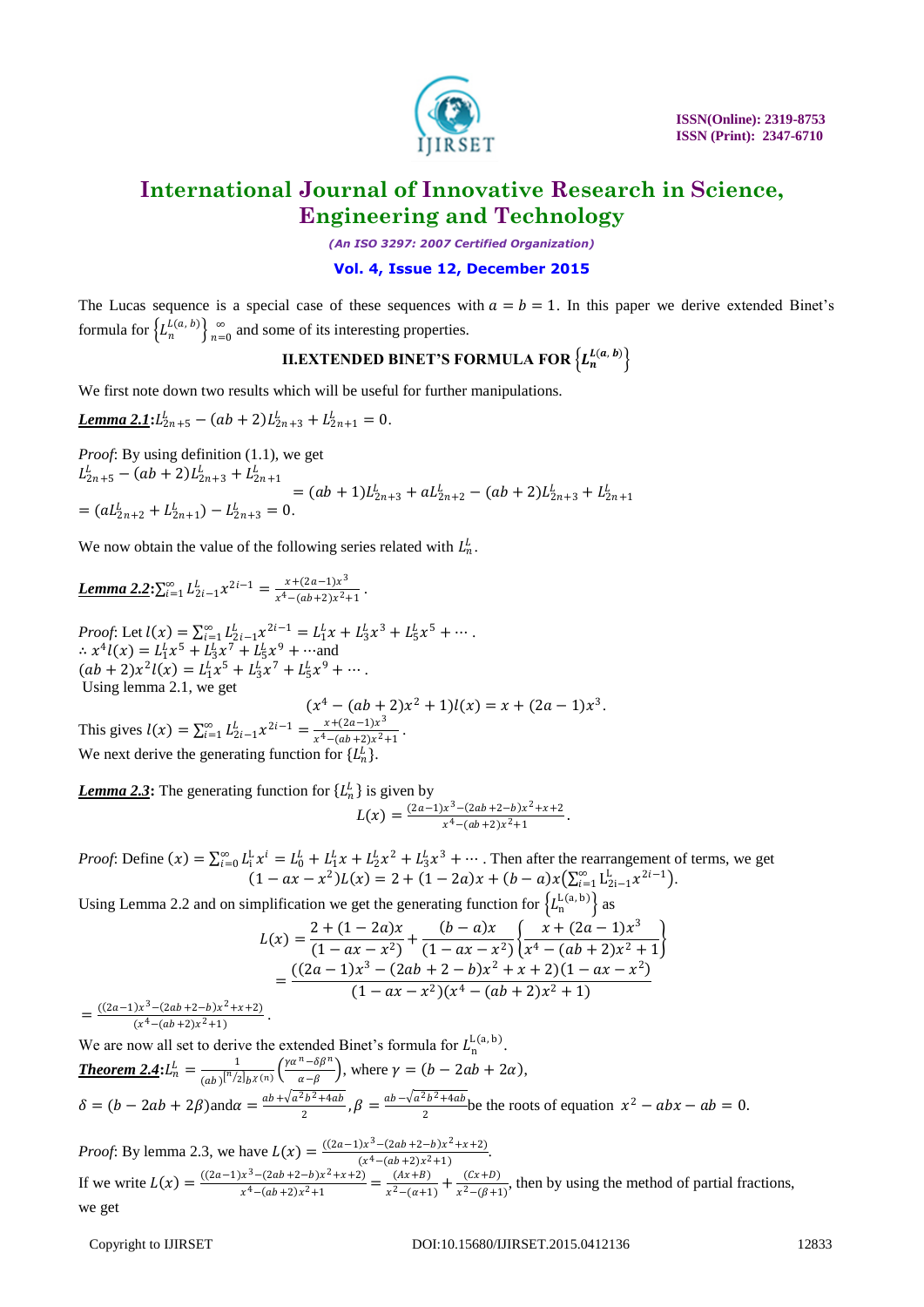

*(An ISO 3297: 2007 Certified Organization)*

#### **Vol. 4, Issue 12, December 2015**

The Lucas sequence is a special case of these sequences with  $a = b = 1$ . In this paper we derive extended Binet's formula for  $\left\{L_n^{L(a, b)}\right\}_{n=1}^\infty$  $\sum_{n=0}^{\infty}$  and some of its interesting properties.

### $\textbf{II}.\textbf{EXT}$ ended binet's formula for  $\left\{L^{L(a,\ b)}_n\right\}$

We first note down two results which will be useful for further manipulations.

Lemma 2.1: 
$$
L_{2n+5}^L - (ab + 2)L_{2n+3}^L + L_{2n+1}^L = 0.
$$

*Proof*: By using definition (1.1), we get  $L_{2n+5}^L - (ab+2)L_{2n+3}^L + L_{2n+1}^L$  $=(ab+1)L_{2n+3}^L + aL_{2n+2}^L - (ab+2)L_{2n+3}^L + L_{2n+1}^L$  $= (aL_{2n+2}^L + L_{2n+1}^L) - L_{2n+3}^L = 0.$ 

We now obtain the value of the following series related with  $L_n^L$ .

**Lemma 2.2:** 
$$
\sum_{i=1}^{\infty} L_{2i-1}^{b} x^{2i-1} = \frac{x + (2a-1)x^3}{x^4 - (ab+2)x^2 + 1}.
$$

*Proof*: Let  $l(x) = \sum_{i=1}^{\infty} L_{2i-1}^{L} x^{2i-1} = L_{1}^{L} x + L_{3}^{L} x^{3} + L_{5}^{L} x^{5} + \cdots$ .  $\therefore x^4 l(x) = L_1^L x^5 + L_3^L x^7 + L_5^L x^9 + \cdots$ and  $(ab + 2)x^{2}l(x) = L_{1}^{L}x^{5} + L_{3}^{L}x^{7} + L_{5}^{L}x^{9} + \cdots$ Using lemma 2.1, we get  $(x^4 - (ab + 2)x^2 + 1)l(x) = x + (2a - 1)x^3$ .

This gives  $l(x) = \sum_{i=1}^{\infty} L_{2i-1}^{L} x^{2i-1} = \frac{x + (2a-1)x^3}{x^4 - (ab+2)x^2}$  $\frac{x+(2a-1)x}{x^4-(ab+2)x^2+1}$ . We next derive the generating function for  $\{L_n^L\}$ .

**Lemma 2.3:** The generating function for  $\{L_n^L\}$  is given by  $L(x) = \frac{(2a-1)x^3 - (2ab+2-b)x^2 + x + 2}{(2a-1)x^2 + 1}$  $\frac{x^4 - (2ab + 2 - b)x + x + 2}{x^4 - (ab + 2)x^2 + 1}$ .

*Proof*: Define  $(x) = \sum_{i=0}^{\infty} L_i^L x^i = L_0^L + L_1^L x + L_2^L x^2 + L_3^L x^3 + \cdots$ . Then after the rearrangement of terms, we get  $(1 - ax - x^2)L(x) = 2 + (1 - 2a)x + (b - a)x(\sum_{i=1}^{\infty} L_{2i-1}^L x^{2i-1}).$ 

Using Lemma 2.2 and on simplification we get the generating function for  $\left\{L_n^{L(a, b)}\right\}$  as

$$
L(x) = \frac{2 + (1 - 2a)x}{(1 - ax - x^2)} + \frac{(b - a)x}{(1 - ax - x^2)} \left\{ \frac{x + (2a - 1)x^3}{x^4 - (ab + 2)x^2 + 1} \right\}
$$
  
= 
$$
\frac{((2a - 1)x^3 - (2ab + 2 - b)x^2 + x + 2)(1 - ax - x^2)}{(1 - ax - x^2)(x^4 - (ab + 2)x^2 + 1)}
$$

 $=\frac{((2a-1)x^3-(2ab+2-b)x^2+x+2)}{((a^4-(ab+2))x^2+1)}$  $\frac{(x^4 - (ab+2)x^2 + 1)}{(x^4 - (ab+2)x^2 + 1)}$ .

We are now all set to derive the extended Binet's formula for  $L_n^{\mathsf{L}(a, b)}$ . **Theorem 2.4:**  $L_n^L = \frac{1}{(1 - k)^{n/2}}$  $\frac{1}{(ab)^{n/2}}\bigg|_{bX(n)} \left(\frac{\gamma\alpha^n-\delta\beta^n}{\alpha-\beta}\right)$  $\frac{-\omega p}{\alpha-\beta}$ , where  $\gamma = (b - 2ab + 2\alpha)$ ,  $\delta = (b - 2ab + 2\beta) \text{ and } \alpha = \frac{ab + \sqrt{a^2b^2 + 4ab}}{2}$  $\frac{a_2b^2+4ab}{2}$ ,  $\beta = \frac{ab-\sqrt{a^2b^2+4ab}}{2}$  $\frac{x^2 - abx - ab}{2}$  be the roots of equation  $x^2 - abx - ab = 0$ .

*Proof*: By lemma 2.3, we have  $L(x) = \frac{((2a-1)x^3 - (2ab+2-b)x^2 + x + 2)}{(a^4 - (ab+2)x^2 + 1)}$  $\frac{(x^4 - (ab + 2)x^2 + 1)}{(x^4 - (ab + 2)x^2 + 1)}$ If we write  $L(x) = \frac{((2a-1)x^3 - (2ab+2-b)x^2 + x + 2)}{x^4 - (2ab+2)y^2 + 1}$  $\frac{x^3 - (2ab + 2 - b)x^2 + x + 2)}{x^4 - (ab + 2)x^2 + 1} = \frac{(Ax + B)}{x^2 - (a + 1)}$  $\frac{(Ax+B)}{x^2-(a+1)} + \frac{(Cx+D)}{x^2-(\beta+1)}$  $\frac{(c \lambda + D)}{x^2 - (\beta + 1)}$ , then by using the method of partial fractions, we get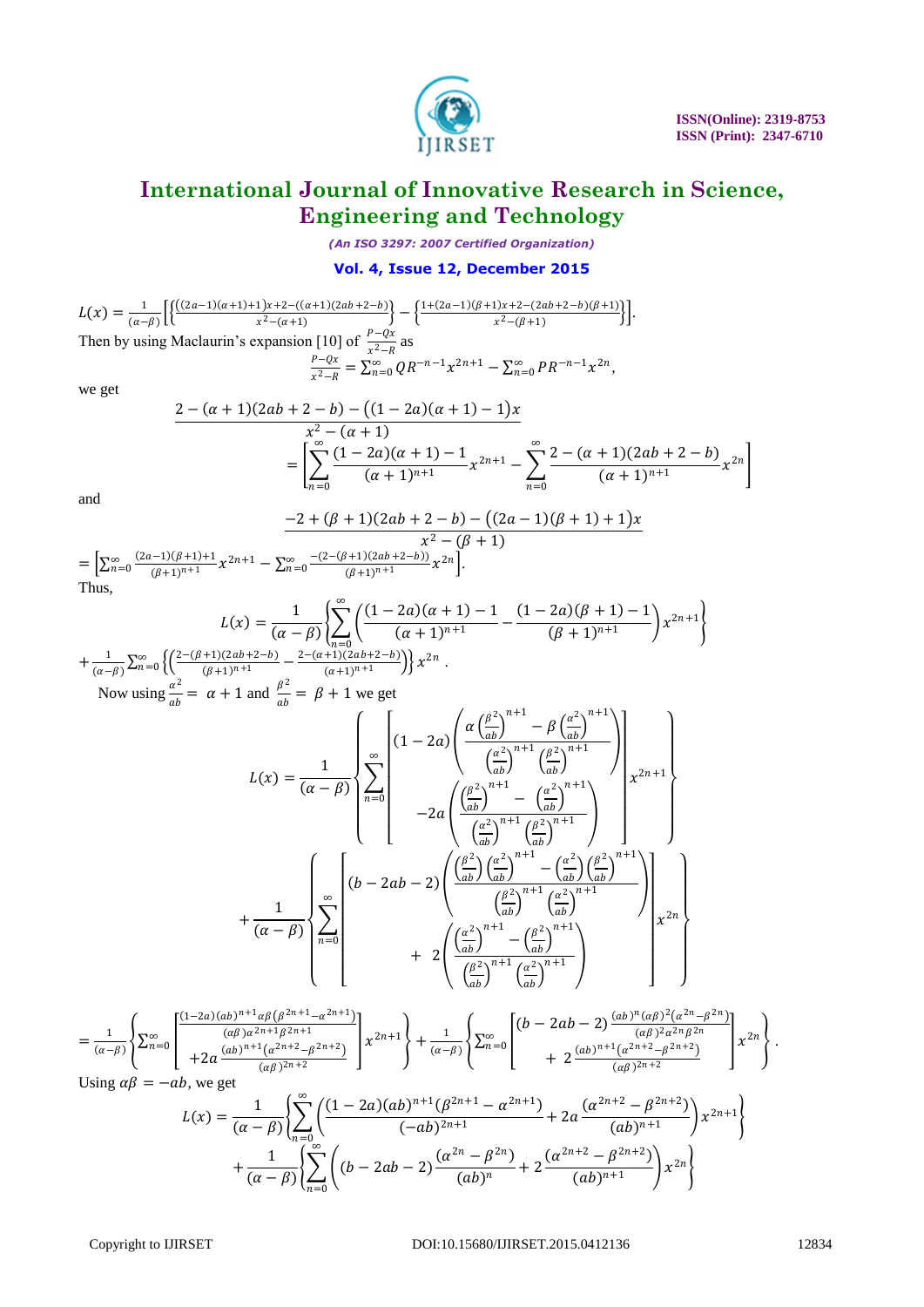

*(An ISO 3297: 2007 Certified Organization)*

#### **Vol. 4, Issue 12, December 2015**

$$
L(x) = \frac{1}{(\alpha - \beta)} \Big[ \Big\{ \frac{((2a - 1)(\alpha + 1) + 1)x + 2 - ((\alpha + 1)(2ab + 2 - b))}{x^2 - (\alpha + 1)} \Big\} - \Big\{ \frac{1 + (2a - 1)(\beta + 1)x + 2 - (2ab + 2 - b)(\beta + 1)}{x^2 - (\beta + 1)} \Big\} \Big].
$$
  
Then by using Maclaurin's expansion [10] of  $\frac{P - Qx}{x^2 - R}$  as  

$$
\frac{P - Qx}{x^2 - R} = \sum_{n=0}^{\infty} QR^{-n-1} x^{2n+1} - \sum_{n=0}^{\infty} PR^{-n-1} x^{2n},
$$

we get

$$
\frac{2 - (\alpha + 1)(2ab + 2 - b) - ((1 - 2a)(\alpha + 1) - 1)x}{x^2 - (\alpha + 1)} \\
= \left[ \sum_{n=0}^{\infty} \frac{(1 - 2a)(\alpha + 1) - 1}{(\alpha + 1)^{n+1}} x^{2n+1} - \sum_{n=0}^{\infty} \frac{2 - (\alpha + 1)(2ab + 2 - b)}{(\alpha + 1)^{n+1}} x^{2n} \right]
$$

and

 $+\frac{1}{1}$ 

$$
\frac{-2 + (\beta + 1)(2ab + 2 - b) - ((2a - 1)(\beta + 1) + 1)x}{x^2 - (\beta + 1)}
$$
  
= 
$$
\left[\sum_{n=0}^{\infty} \frac{(2a-1)(\beta+1)+1}{(\beta+1)^{n+1}} x^{2n+1} - \sum_{n=0}^{\infty} \frac{-(2-(\beta+1)(2ab+2-b))}{(\beta+1)^{n+1}} x^{2n}\right].
$$
  
Thus,

$$
L(x) = \frac{1}{(\alpha - \beta)} \left\{ \sum_{n=0}^{\infty} \left( \frac{(1 - 2a)(\alpha + 1) - 1}{(\alpha + 1)^{n+1}} - \frac{(1 - 2a)(\beta + 1) - 1}{(\beta + 1)^{n+1}} \right) x^{2n+1} \right\}
$$

$$
\frac{1}{(\alpha - \beta)} \sum_{n=0}^{\infty} \left\{ \left( \frac{2 - (\beta + 1)(2ab + 2 - b)}{(\beta + 1)^{n+1}} - \frac{2 - (\alpha + 1)(2ab + 2 - b)}{(\alpha + 1)^{n+1}} \right) \right\} x^{2n}.
$$

Now using  $\frac{\alpha^2}{4}$  $rac{\alpha^2}{ab} = \alpha + 1$  and  $rac{\beta^2}{ab}$  $\frac{\rho}{ab} = \beta + 1$  we get

$$
L(x) = \frac{1}{(\alpha - \beta)} \left\{ \sum_{n=0}^{\infty} \left[ (1 - 2a) \left( \frac{\alpha \left(\frac{\beta^2}{ab}\right)^{n+1} - \beta \left(\frac{\alpha^2}{ab}\right)^{n+1}}{\left(\frac{\alpha^2}{ab}\right)^{n+1}} \right) \right]_{x^{2n+1}} \right\}
$$

$$
= 2a \left( \frac{\left(\frac{\beta^2}{ab}\right)^{n+1} - \left(\frac{\alpha^2}{ab}\right)^{n+1}}{\left(\frac{\alpha^2}{ab}\right)^{n+1}} \right)_{x^{2n+1}} \right\}
$$

$$
+ \frac{1}{(\alpha - \beta)} \left\{ \sum_{n=0}^{\infty} \left[ (b - 2ab - 2) \left( \frac{\left(\frac{\beta^2}{ab}\right) \left(\frac{\alpha^2}{ab}\right)^{n+1} - \left(\frac{\alpha^2}{ab}\right) \left(\frac{\beta^2}{ab}\right)^{n+1}}{\left(\frac{\beta^2}{ab}\right)^{n+1}} \right]_{x^{2n}} \right\}
$$

$$
+ 2 \left( \frac{\left(\frac{\alpha^2}{ab}\right)^{n+1} - \left(\frac{\alpha^2}{ab}\right)^{n+1}}{\left(\frac{\beta^2}{ab}\right)^{n+1}} \right\}
$$

$$
+ 2 \left( \frac{\left(\frac{\alpha^2}{ab}\right)^{n+1} - \left(\frac{\beta^2}{ab}\right)^{n+1}}{\left(\frac{\beta^2}{ab}\right)^{n+1}} \right)
$$

$$
x^{2n} \right\}
$$

$$
=\frac{1}{(\alpha-\beta)}\left\{\sum_{n=0}^{\infty}\left[\frac{(1-2a)(ab)^{n+1}\alpha\beta\left(\beta^{2n+1}-\alpha^{2n+1}\right)}{(\alpha\beta)\alpha^{2n+1}\beta^{2n+1}}\right]x^{2n+1}\right\}+\frac{1}{(\alpha-\beta)}\left\{\sum_{n=0}^{\infty}\left[\frac{(b-2ab-2)\frac{(ab)^{n}(\alpha\beta)^{2}(\alpha^{2n}-\beta^{2n})}{(\alpha\beta)^{2\alpha^{2n}}\beta^{2n}}}{(a\beta)^{2n+2}}\right]x^{2n}\right\}.
$$
  
Using  $\alpha\beta=-ab$ , we get

Using  $\alpha\beta = -ab$ , we get

$$
L(x) = \frac{1}{(\alpha - \beta)} \left\{ \sum_{n=0}^{\infty} \left( \frac{(1 - 2a)(ab)^{n+1} (\beta^{2n+1} - \alpha^{2n+1})}{(-ab)^{2n+1}} + 2a \frac{(\alpha^{2n+2} - \beta^{2n+2})}{(ab)^{n+1}} \right) x^{2n+1} \right\}
$$

$$
+ \frac{1}{(\alpha - \beta)} \left\{ \sum_{n=0}^{\infty} \left( (b - 2ab - 2) \frac{(\alpha^{2n} - \beta^{2n})}{(ab)^n} + 2 \frac{(\alpha^{2n+2} - \beta^{2n+2})}{(ab)^{n+1}} \right) x^{2n} \right\}
$$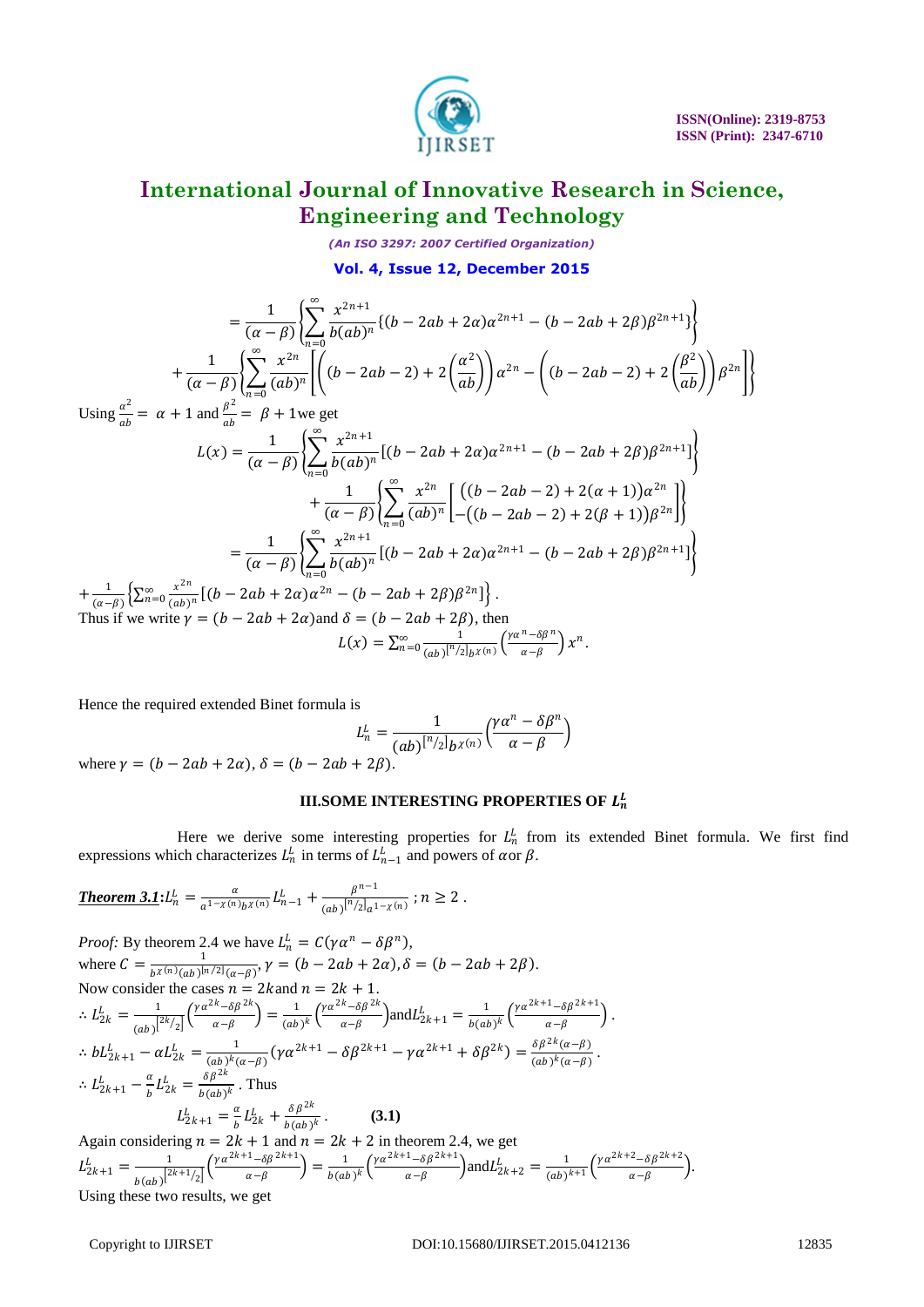

*(An ISO 3297: 2007 Certified Organization)*

#### **Vol. 4, Issue 12, December 2015**

$$
= \frac{1}{(\alpha - \beta)} \left\{ \sum_{n=0}^{\infty} \frac{x^{2n+1}}{b(ab)^n} \{ (b - 2ab + 2\alpha) \alpha^{2n+1} - (b - 2ab + 2\beta) \beta^{2n+1} \} \right\}
$$
  
+ 
$$
\frac{1}{(\alpha - \beta)} \left\{ \sum_{n=0}^{\infty} \frac{x^{2n}}{(ab)^n} \left[ \left( (b - 2ab - 2) + 2 \left( \frac{\alpha^2}{ab} \right) \right) \alpha^{2n} - \left( (b - 2ab - 2) + 2 \left( \frac{\beta^2}{ab} \right) \right) \beta^{2n} \right] \} \right\}
$$

Using  $\frac{\alpha^2}{4}$  $rac{\alpha^2}{ab} = \alpha + 1$  and  $rac{\beta^2}{ab}$  $\frac{\rho}{ab} = \beta + 1$ we get

$$
L(x) = \frac{1}{(\alpha - \beta)} \left\{ \sum_{n=0}^{\infty} \frac{x^{2n+1}}{b(ab)^n} \left[ (b - 2ab + 2\alpha) \alpha^{2n+1} - (b - 2ab + 2\beta) \beta^{2n+1} \right] \right\} + \frac{1}{(\alpha - \beta)} \left\{ \sum_{n=0}^{\infty} \frac{x^{2n}}{(ab)^n} \left[ \left( (b - 2ab - 2) + 2(\alpha + 1) \right) \alpha^{2n} \right] \right\} = \frac{1}{(\alpha - \beta)} \left\{ \sum_{n=0}^{\infty} \frac{x^{2n+1}}{b(ab)^n} \left[ (b - 2ab + 2\alpha) \alpha^{2n+1} - (b - 2ab + 2\beta) \beta^{2n+1} \right] \right\} + \frac{1}{(\alpha - \beta)} \left\{ \sum_{n=0}^{\infty} \frac{x^{2n+1}}{b(ab)^n} \left[ (b - 2ab + 2\alpha) \alpha^{2n+1} - (b - 2ab + 2\beta) \beta^{2n+1} \right] \right\} + \frac{1}{(\alpha - \beta)} \left\{ \sum_{n=0}^{\infty} \frac{x^{2n}}{(ab)^n} \left[ (b - 2ab + 2\alpha) \alpha^{2n} - (b - 2ab + 2\beta) \beta^{2n} \right] \right\}.
$$
  
Thus if we write  $\gamma = (b - 2ab + 2\alpha)$  and  $\delta = (b - 2ab + 2\beta)$ , then  

$$
L(x) = \sum_{n=0}^{\infty} \frac{1}{(ab)^n/2} \frac{\left( \frac{\alpha^n - \delta \beta^n}{\alpha - \beta} \right)}{x^n} x^n.
$$

Hence the required extended Binet formula is

$$
L_n^L = \frac{1}{(ab)^{n/2}b^{\chi(n)}}\Big(\frac{\gamma\alpha^n-\delta\beta^n}{\alpha-\beta}\Big)
$$

where  $y = (b - 2ab + 2\alpha)$ ,  $\delta = (b - 2ab + 2\beta)$ .

#### **III.SOME INTERESTING PROPERTIES OF**  $L_n^L$

Here we derive some interesting properties for  $L_n^L$  from its extended Binet formula. We first find expressions which characterizes  $L_n^L$  in terms of  $L_{n-1}^L$  and powers of  $\alpha$ or  $\beta$ .

**Theorem 3.1:** 
$$
L_n^L = \frac{\alpha}{a^{1-\chi(n)}b^{\chi(n)}} L_{n-1}^L + \frac{\beta^{n-1}}{(ab)^{[n/2]}a^{1-\chi(n)}}
$$
;  $n \ge 2$ .

*Proof:* By theorem 2.4 we have  $L_n^L = C(\gamma \alpha^n - \delta \beta^n)$ , where  $C = \frac{1}{\sqrt{N(n)(1-\frac{1}{2})}}$  $\frac{1}{b^{\chi(n)}(ab)^{\lfloor n/2 \rfloor}(a-\beta)}, \gamma = (b-2ab+2\alpha), \delta = (b-2ab+2\beta).$ Now consider the cases  $n = 2k$  and  $n = 2k + 1$ .  $\therefore L_{2k}^L = \frac{1}{\sqrt{2k}}$  $\frac{1}{(ab)^{2k/2}} \left(\frac{\gamma \alpha^{2k} - \delta \beta^{2k}}{\alpha - \beta}\right)$  $\frac{1}{\alpha - \beta}^{\alpha - \delta \beta^{2k}}$  =  $\frac{1}{(ab)}$  $\frac{1}{(ab)^k} \left( \frac{\gamma \alpha^{2k} - \delta \beta^{2k}}{\alpha - \beta} \right)$  $\left( \frac{1}{\alpha - \beta} \right)$  and  $L_{2k+1}^L = \frac{1}{b(a)}$  $\frac{1}{b(ab)^k} \left( \frac{\gamma \alpha^{2k+1} - \delta \beta^{2k+1}}{\alpha - \beta} \right)$  $\frac{-\sigma \rho}{\alpha - \beta}$ ).  $\therefore bL_{2k+1}^L - \alpha L_{2k}^L = \frac{1}{(ab)^k}$  $\frac{1}{(ab)^k(\alpha-\beta)}(\gamma\alpha^{2k+1}-\delta\beta^{2k+1}-\gamma\alpha^{2k+1}+\delta\beta^{2k})=\frac{\delta\beta^{2k}(\alpha-\beta)}{(ab)^k(\alpha-\beta)}$  $\frac{\partial P}{(ab)^k(a-\beta)}$ .  $\therefore L_{2k+1}^L - \frac{\alpha}{h}$  $\frac{\alpha}{b} L_{2k}^L = \frac{\delta \beta^{2k}}{b(ab)}$  $\frac{\partial p}{b(ab)^k}$ . Thus  $L_{2k+1}^L = \frac{a}{b}$  $\frac{\alpha}{b}L_{2k}^L+\frac{\delta\beta^{2k}}{b(ab)}$  $\frac{\partial p}{b(ab)^k}$  (3.1) Again considering  $n = 2k + 1$  and  $n = 2k + 2$  in theorem 2.4, we get  $L_{2k+1}^L = \frac{1}{2}$  $\frac{1}{b(ab)}\left[\frac{2k+1}{2}\right]\left(\frac{\gamma\alpha^{2k+1}-\delta\beta^{2k+1}}{\alpha-\beta}\right]$  $\frac{1-\delta\beta^{2k+1}}{\alpha-\beta}\bigg)=\frac{1}{b(\alpha k)}$  $\frac{1}{b(ab)^k} \left( \frac{\gamma \alpha^{2k+1} - \delta \beta^{2k+1}}{\alpha - \beta} \right)$  $\left(\frac{1-\delta\beta^{2k+1}}{\alpha-\beta}\right)$  and  $L_{2k+2}^L = \frac{1}{(ab)}$  $\frac{1}{(ab)^{k+1}}\left(\frac{\gamma\alpha^{2k+2}-\delta\beta^{2k+2}}{\alpha-\beta}\right)$  $\frac{-\sigma \rho}{\alpha - \beta}$ ).

Using these two results, we get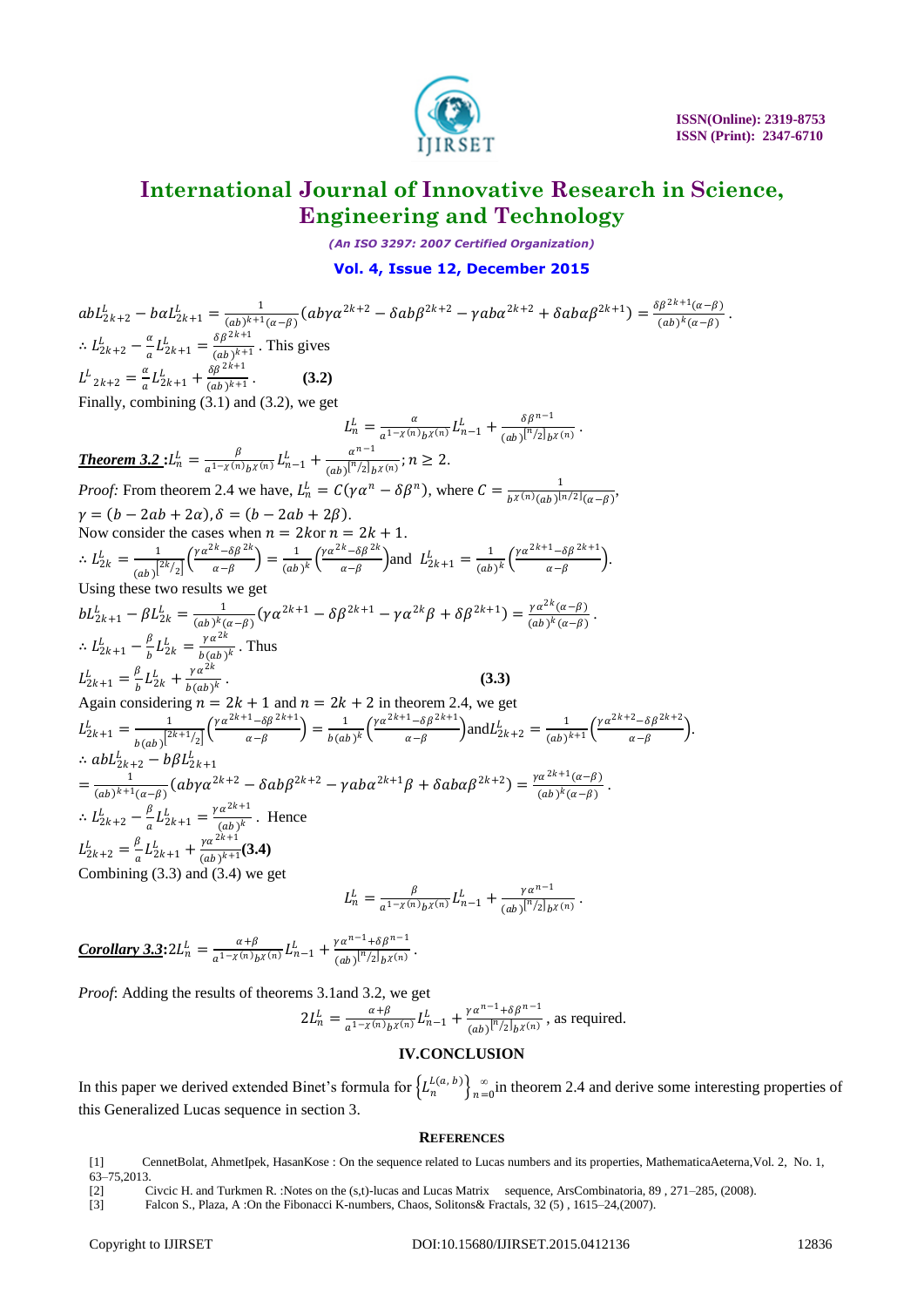

*(An ISO 3297: 2007 Certified Organization)*

#### **Vol. 4, Issue 12, December 2015**

 $abL_{2k+2}^L - baL_{2k+1}^L = \frac{1}{(ab)^{k+1}}$  $\frac{1}{(ab)^{k+1}(\alpha-\beta)}(ab\gamma\alpha^{2k+2}-\delta ab\beta^{2k+2}-\gamma ab\alpha^{2k+2}+\delta ab\alpha\beta^{2k+1})=\frac{\delta\beta^{2k+1}(\alpha-\beta)}{(ab)^k(\alpha-\beta)}$  $\frac{(a-p)}{(ab)^k(a-\beta)}$ .  $\therefore L_{2k+2}^L - \frac{\alpha}{a}$  $\frac{\alpha}{a}L_{2k+1}^{L} = \frac{\delta \beta^{2k+1}}{(ab)^{k+1}}$  $\frac{\partial p}{(ab)^{k+1}}$ . This gives  $L^L_{2k+2} = \frac{\alpha}{a}$  $\frac{a}{a}L_{2k+1}^{L}+\frac{\delta\beta^{2k+1}}{(ab)^{k+1}}$  $\frac{\partial p}{(ab)^{k+1}}$ . (3.2) Finally, combining (3.1) and (3.2), we get  $L_n^L = \frac{a}{a^{1-\chi(n)}}$  $\frac{\alpha}{a^{1-\chi(n)}b^{\chi(n)}} L_{n-1}^{L} + \frac{\delta\beta^{n-1}}{(ab)^{[n/2]}b^{\chi(n)}}$  $\frac{op}{(ab)^{[n/2]}b^{\chi(n)}}$ . **Theorem 3.2 :**  $L_n^L = \frac{\beta}{a^{1-\chi(n)}}$  $\frac{\beta}{a^{1-\chi(n)}b^{\chi(n)}} L_{n-1}^L + \frac{a^{n-1}}{(ab)^{[n/2]}k}$  $\frac{a}{(ab)^{n/2}}$ <sub>b</sub> $\chi(n)$ ;  $n \geq 2$ . *Proof:* From theorem 2.4 we have,  $L_n^L = C(\gamma \alpha^n - \delta \beta^n)$ , where  $C = \frac{1}{h\gamma(n)(\alpha h)^{1/2}}$  $\frac{1}{b^{\chi(n)}(ab)^{\lfloor n/2 \rfloor}(\alpha-\beta)},$  $\gamma = (b - 2ab + 2\alpha), \delta = (b - 2ab + 2\beta).$ Now consider the cases when  $n = 2k$  or  $n = 2k + 1$ .  $\therefore L_{2k}^L = \frac{1}{\sqrt{2k}}$  $\frac{1}{(ab)^{2k/2}} \left(\frac{\gamma \alpha^{2k} - \delta \beta^{2k}}{\alpha - \beta}\right)$  $\frac{1}{\alpha - \beta}^{\alpha - \delta \beta^{2k}}$  =  $\frac{1}{(ab)}$  $\frac{1}{(ab)^k} \left( \frac{\gamma \alpha^{2k} - \delta \beta^{2k}}{\alpha - \beta} \right)$  $\left( \frac{k}{\alpha - \beta} \right)$  and  $L_{2k+1}^L = \frac{1}{(ab)}$  $\frac{1}{(ab)^k}\left(\frac{\gamma\alpha^{2k+1}-\delta\beta^{2k+1}}{\alpha-\beta}\right)$  $\frac{-\sigma p}{\alpha-\beta}$ ). Using these two results we get  $bL_{2k+1}^L - \beta L_{2k}^L = \frac{1}{(ab)^k}$  $\frac{1}{(ab)^k(a-\beta)}(\gamma\alpha^{2k+1}-\delta\beta^{2k+1}-\gamma\alpha^{2k}\beta+\delta\beta^{2k+1})=\frac{\gamma\alpha^{2k}(\alpha-\beta)}{(ab)^k(\alpha-\beta)}$  $\frac{\gamma a (a-p)}{(ab)^k (a-\beta)}.$  $\therefore L_{2k+1}^L - \frac{\beta}{h}$  $\frac{\beta}{b} L_{2k}^L = \frac{\gamma \alpha^{2k}}{b(ab)}$  $\frac{r^{\alpha}}{b(ab)^k}$ . Thus  $L_{2k+1}^{L} = \frac{\beta}{h}$  $\frac{\beta}{b}L_{2k}^L+\frac{\gamma\alpha^{2k}}{b(ab)}$  $\frac{V^u}{b(ab)^k}$  (3.3) Again considering  $n = 2k + 1$  and  $n = 2k + 2$  in theorem 2.4, we get  $L_{2k+1}^L = \frac{1}{\sqrt{2k+1}}$  $\frac{1}{b(ab)}\left[\frac{2k+1}{2}\right]\left(\frac{\gamma\alpha^{2k+1}-\delta\beta^{2k+1}}{\alpha-\beta}\right]$  $\frac{1-\delta\beta^{2k+1}}{\alpha-\beta}\bigg)=\frac{1}{b(ak)}$  $\frac{1}{b(ab)^k} \left( \frac{\gamma \alpha^{2k+1} - \delta \beta^{2k+1}}{\alpha - \beta} \right)$  $\left(\frac{1-\delta\beta^{2k+1}}{\alpha-\beta}\right)$  and  $L_{2k+2}^L = \frac{1}{(ab)}$  $\frac{1}{(ab)^{k+1}}\bigg(\frac{\gamma\alpha^{2k+2}-\delta\beta^{2k+2}}{\alpha-\beta}\bigg)$  $\frac{-\sigma \rho}{\alpha - \beta}$ ).  $\therefore$  ab $L_{2k+2}^L - b\beta L_{2k+1}^L$  $=\frac{1}{(k+1)(k+1)}$  $\frac{1}{(ab)^{k+1}(\alpha-\beta)}(ab\gamma\alpha^{2k+2}-\delta ab\beta^{2k+2}-\gamma ab\alpha^{2k+1}\beta+\delta ab\alpha\beta^{2k+2})=\frac{\gamma\alpha^{2k+1}(\alpha-\beta)}{(ab)^k(\alpha-\beta)}$  $\frac{(a-\beta)}{(ab)^k(\alpha-\beta)}$ .  $\therefore L_{2k+2}^L - \frac{\beta}{a}$  $\frac{\beta}{a}L_{2k+1}^{L} = \frac{\gamma \alpha^{2k+1}}{(ab)^k}$  $\frac{a}{(ab)^k}$ . Hence  $L_{2k+2}^L = \frac{\beta}{a}$  $\frac{\beta}{a}L_{2k+1}^L + \frac{\gamma\alpha^{2k+1}}{(ab)^{k+1}}$  $\frac{r^{\alpha}}{(ab)^{k+1}}(3.4)$ Combining (3.3) and (3.4) we get  $L_n^L = \frac{\beta}{a^{1-\chi(n)}}$  $\frac{\beta}{a^{1-\chi(n)}b^{\chi(n)}} L_{n-1}^{L} + \frac{\gamma a^{n-1}}{(ab)^{[n/2]}b^{\chi(n)}}$  $\frac{\gamma a}{(ab)^{[n/2]}b^{\chi(n)}}$ .

 $Corollary 3.3: 2L_n^L = \frac{\alpha + \beta}{\alpha^1 - \chi(n)h}$  $\frac{\alpha+\beta}{\alpha^{1-\chi(n)}b^{\chi(n)}}L_{n-1}^{L}+\frac{\gamma\alpha^{n-1}+\delta\beta^{n-1}}{(\alpha b)^{[n/2]}b^{\chi(n)}}$  $\frac{\int u^{n+0} P(x)}{(ab)^{n+2}}$ .

*Proof*: Adding the results of theorems 3.1and 3.2, we get

$$
2L_n^L = \frac{\alpha + \beta}{a^{1-\chi(n)}b^{\chi(n)}} L_{n-1}^L + \frac{\gamma \alpha^{n-1} + \delta \beta^{n-1}}{(ab)^{n/2}b^{\chi(n)}},
$$
 as required.

#### **IV.CONCLUSION**

In this paper we derived extended Binet's formula for  $\left\{L_n^{L(a, b)}\right\}_{n=1}^{\infty}$  $\sum_{n=0}^{\infty}$  in theorem 2.4 and derive some interesting properties of this Generalized Lucas sequence in section 3.

#### **REFERENCES**

- [1] CennetBolat, AhmetIpek, HasanKose : On the sequence related to Lucas numbers and its properties, MathematicaAeterna,Vol. 2, No. 1,  $63 - 75,2013$ .
- [2] Civcic H. and Turkmen R. :Notes on the (s,t)-lucas and Lucas Matrix sequence, ArsCombinatoria, 89 , 271–285, (2008).

<sup>[3]</sup> Falcon S., Plaza, A :On the Fibonacci K-numbers, Chaos, Solitons& Fractals, 32 (5) , 1615–24,(2007).